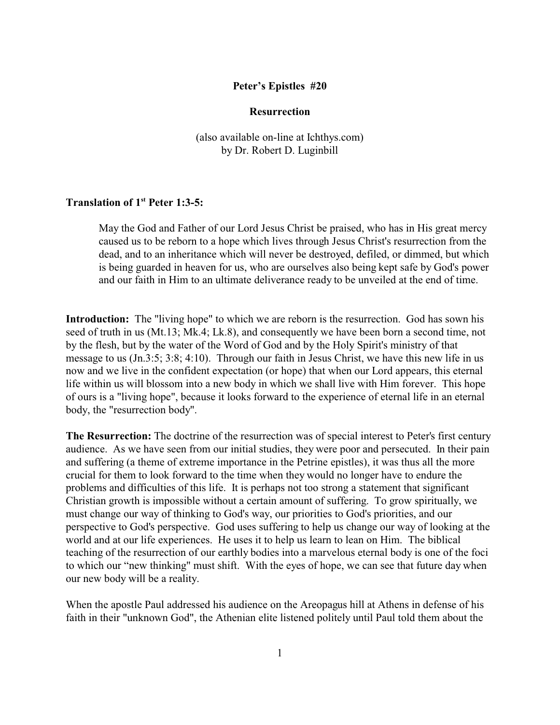### **Peter's Epistles #20**

## **Resurrection**

(also available on-line at Ichthys.com) by Dr. Robert D. Luginbill

# **Translation of 1st Peter 1:3-5:**

May the God and Father of our Lord Jesus Christ be praised, who has in His great mercy caused us to be reborn to a hope which lives through Jesus Christ's resurrection from the dead, and to an inheritance which will never be destroyed, defiled, or dimmed, but which is being guarded in heaven for us, who are ourselves also being kept safe by God's power and our faith in Him to an ultimate deliverance ready to be unveiled at the end of time.

**Introduction:** The "living hope" to which we are reborn is the resurrection. God has sown his seed of truth in us (Mt.13; Mk.4; Lk.8), and consequently we have been born a second time, not by the flesh, but by the water of the Word of God and by the Holy Spirit's ministry of that message to us (Jn.3:5; 3:8; 4:10). Through our faith in Jesus Christ, we have this new life in us now and we live in the confident expectation (or hope) that when our Lord appears, this eternal life within us will blossom into a new body in which we shall live with Him forever. This hope of ours is a "living hope", because it looks forward to the experience of eternal life in an eternal body, the "resurrection body".

**The Resurrection:** The doctrine of the resurrection was of special interest to Peter's first century audience. As we have seen from our initial studies, they were poor and persecuted. In their pain and suffering (a theme of extreme importance in the Petrine epistles), it was thus all the more crucial for them to look forward to the time when they would no longer have to endure the problems and difficulties of this life. It is perhaps not too strong a statement that significant Christian growth is impossible without a certain amount of suffering. To grow spiritually, we must change our way of thinking to God's way, our priorities to God's priorities, and our perspective to God's perspective. God uses suffering to help us change our way of looking at the world and at our life experiences. He uses it to help us learn to lean on Him. The biblical teaching of the resurrection of our earthly bodies into a marvelous eternal body is one of the foci to which our "new thinking" must shift. With the eyes of hope, we can see that future day when our new body will be a reality.

When the apostle Paul addressed his audience on the Areopagus hill at Athens in defense of his faith in their "unknown God", the Athenian elite listened politely until Paul told them about the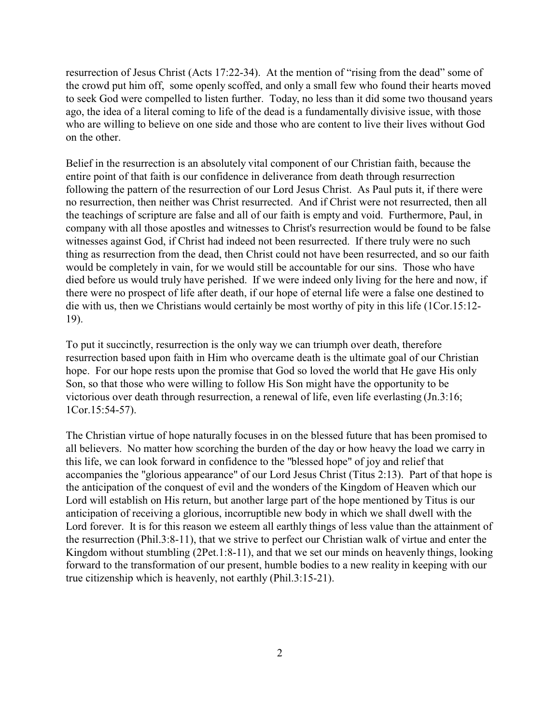resurrection of Jesus Christ (Acts 17:22-34). At the mention of "rising from the dead" some of the crowd put him off, some openly scoffed, and only a small few who found their hearts moved to seek God were compelled to listen further. Today, no less than it did some two thousand years ago, the idea of a literal coming to life of the dead is a fundamentally divisive issue, with those who are willing to believe on one side and those who are content to live their lives without God on the other.

Belief in the resurrection is an absolutely vital component of our Christian faith, because the entire point of that faith is our confidence in deliverance from death through resurrection following the pattern of the resurrection of our Lord Jesus Christ. As Paul puts it, if there were no resurrection, then neither was Christ resurrected. And if Christ were not resurrected, then all the teachings of scripture are false and all of our faith is empty and void. Furthermore, Paul, in company with all those apostles and witnesses to Christ's resurrection would be found to be false witnesses against God, if Christ had indeed not been resurrected. If there truly were no such thing as resurrection from the dead, then Christ could not have been resurrected, and so our faith would be completely in vain, for we would still be accountable for our sins. Those who have died before us would truly have perished. If we were indeed only living for the here and now, if there were no prospect of life after death, if our hope of eternal life were a false one destined to die with us, then we Christians would certainly be most worthy of pity in this life (1Cor.15:12- 19).

To put it succinctly, resurrection is the only way we can triumph over death, therefore resurrection based upon faith in Him who overcame death is the ultimate goal of our Christian hope. For our hope rests upon the promise that God so loved the world that He gave His only Son, so that those who were willing to follow His Son might have the opportunity to be victorious over death through resurrection, a renewal of life, even life everlasting (Jn.3:16; 1Cor.15:54-57).

The Christian virtue of hope naturally focuses in on the blessed future that has been promised to all believers. No matter how scorching the burden of the day or how heavy the load we carry in this life, we can look forward in confidence to the "blessed hope" of joy and relief that accompanies the "glorious appearance" of our Lord Jesus Christ (Titus 2:13). Part of that hope is the anticipation of the conquest of evil and the wonders of the Kingdom of Heaven which our Lord will establish on His return, but another large part of the hope mentioned by Titus is our anticipation of receiving a glorious, incorruptible new body in which we shall dwell with the Lord forever. It is for this reason we esteem all earthly things of less value than the attainment of the resurrection (Phil.3:8-11), that we strive to perfect our Christian walk of virtue and enter the Kingdom without stumbling (2Pet.1:8-11), and that we set our minds on heavenly things, looking forward to the transformation of our present, humble bodies to a new reality in keeping with our true citizenship which is heavenly, not earthly (Phil.3:15-21).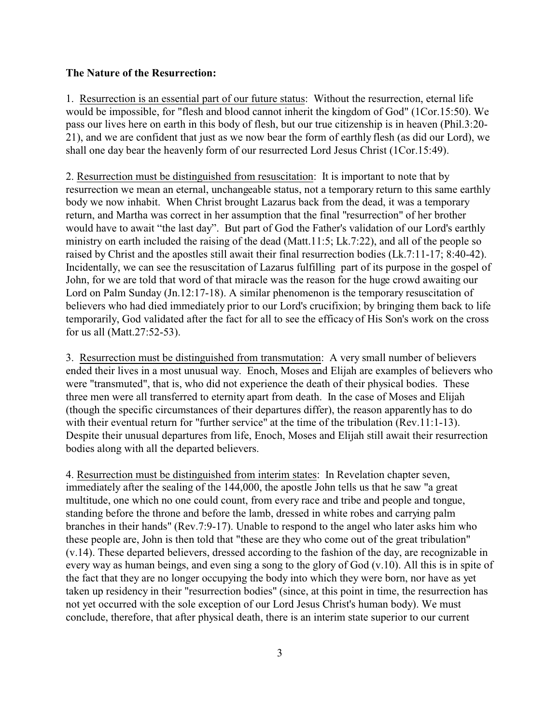#### **The Nature of the Resurrection:**

1. Resurrection is an essential part of our future status: Without the resurrection, eternal life would be impossible, for "flesh and blood cannot inherit the kingdom of God" (1Cor.15:50). We pass our lives here on earth in this body of flesh, but our true citizenship is in heaven (Phil.3:20- 21), and we are confident that just as we now bear the form of earthly flesh (as did our Lord), we shall one day bear the heavenly form of our resurrected Lord Jesus Christ (1Cor.15:49).

2. Resurrection must be distinguished from resuscitation: It is important to note that by resurrection we mean an eternal, unchangeable status, not a temporary return to this same earthly body we now inhabit. When Christ brought Lazarus back from the dead, it was a temporary return, and Martha was correct in her assumption that the final "resurrection" of her brother would have to await "the last day". But part of God the Father's validation of our Lord's earthly ministry on earth included the raising of the dead (Matt.11:5; Lk.7:22), and all of the people so raised by Christ and the apostles still await their final resurrection bodies (Lk.7:11-17; 8:40-42). Incidentally, we can see the resuscitation of Lazarus fulfilling part of its purpose in the gospel of John, for we are told that word of that miracle was the reason for the huge crowd awaiting our Lord on Palm Sunday (Jn.12:17-18). A similar phenomenon is the temporary resuscitation of believers who had died immediately prior to our Lord's crucifixion; by bringing them back to life temporarily, God validated after the fact for all to see the efficacy of His Son's work on the cross for us all (Matt.27:52-53).

3. Resurrection must be distinguished from transmutation: A very small number of believers ended their lives in a most unusual way. Enoch, Moses and Elijah are examples of believers who were "transmuted", that is, who did not experience the death of their physical bodies. These three men were all transferred to eternity apart from death. In the case of Moses and Elijah (though the specific circumstances of their departures differ), the reason apparently has to do with their eventual return for "further service" at the time of the tribulation (Rev.11:1-13). Despite their unusual departures from life, Enoch, Moses and Elijah still await their resurrection bodies along with all the departed believers.

4. Resurrection must be distinguished from interim states: In Revelation chapter seven, immediately after the sealing of the 144,000, the apostle John tells us that he saw "a great multitude, one which no one could count, from every race and tribe and people and tongue, standing before the throne and before the lamb, dressed in white robes and carrying palm branches in their hands" (Rev.7:9-17). Unable to respond to the angel who later asks him who these people are, John is then told that "these are they who come out of the great tribulation" (v.14). These departed believers, dressed according to the fashion of the day, are recognizable in every way as human beings, and even sing a song to the glory of God (v.10). All this is in spite of the fact that they are no longer occupying the body into which they were born, nor have as yet taken up residency in their "resurrection bodies" (since, at this point in time, the resurrection has not yet occurred with the sole exception of our Lord Jesus Christ's human body). We must conclude, therefore, that after physical death, there is an interim state superior to our current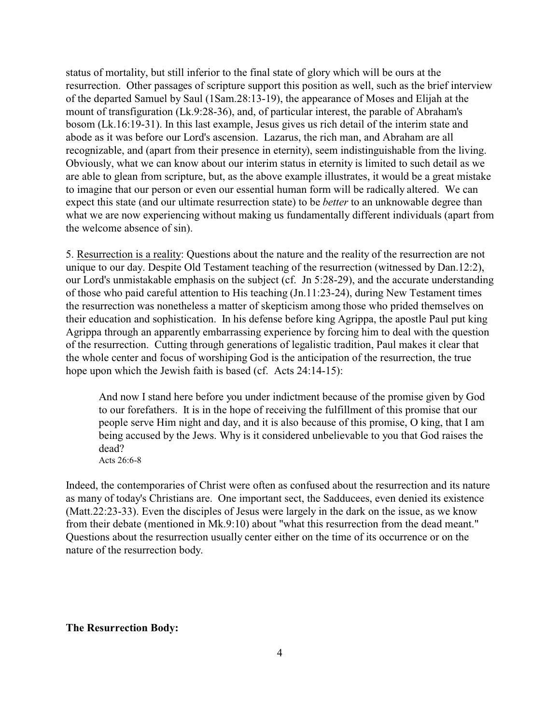status of mortality, but still inferior to the final state of glory which will be ours at the resurrection. Other passages of scripture support this position as well, such as the brief interview of the departed Samuel by Saul (1Sam.28:13-19), the appearance of Moses and Elijah at the mount of transfiguration (Lk.9:28-36), and, of particular interest, the parable of Abraham's bosom (Lk.16:19-31). In this last example, Jesus gives us rich detail of the interim state and abode as it was before our Lord's ascension. Lazarus, the rich man, and Abraham are all recognizable, and (apart from their presence in eternity), seem indistinguishable from the living. Obviously, what we can know about our interim status in eternity is limited to such detail as we are able to glean from scripture, but, as the above example illustrates, it would be a great mistake to imagine that our person or even our essential human form will be radically altered. We can expect this state (and our ultimate resurrection state) to be *better* to an unknowable degree than what we are now experiencing without making us fundamentally different individuals (apart from the welcome absence of sin).

5. Resurrection is a reality: Questions about the nature and the reality of the resurrection are not unique to our day. Despite Old Testament teaching of the resurrection (witnessed by Dan.12:2), our Lord's unmistakable emphasis on the subject (cf. Jn 5:28-29), and the accurate understanding of those who paid careful attention to His teaching (Jn.11:23-24), during New Testament times the resurrection was nonetheless a matter of skepticism among those who prided themselves on their education and sophistication. In his defense before king Agrippa, the apostle Paul put king Agrippa through an apparently embarrassing experience by forcing him to deal with the question of the resurrection. Cutting through generations of legalistic tradition, Paul makes it clear that the whole center and focus of worshiping God is the anticipation of the resurrection, the true hope upon which the Jewish faith is based (cf. Acts 24:14-15):

And now I stand here before you under indictment because of the promise given by God to our forefathers. It is in the hope of receiving the fulfillment of this promise that our people serve Him night and day, and it is also because of this promise, O king, that I am being accused by the Jews. Why is it considered unbelievable to you that God raises the dead? Acts 26:6-8

Indeed, the contemporaries of Christ were often as confused about the resurrection and its nature as many of today's Christians are. One important sect, the Sadducees, even denied its existence (Matt.22:23-33). Even the disciples of Jesus were largely in the dark on the issue, as we know from their debate (mentioned in Mk.9:10) about "what this resurrection from the dead meant." Questions about the resurrection usually center either on the time of its occurrence or on the nature of the resurrection body.

## **The Resurrection Body:**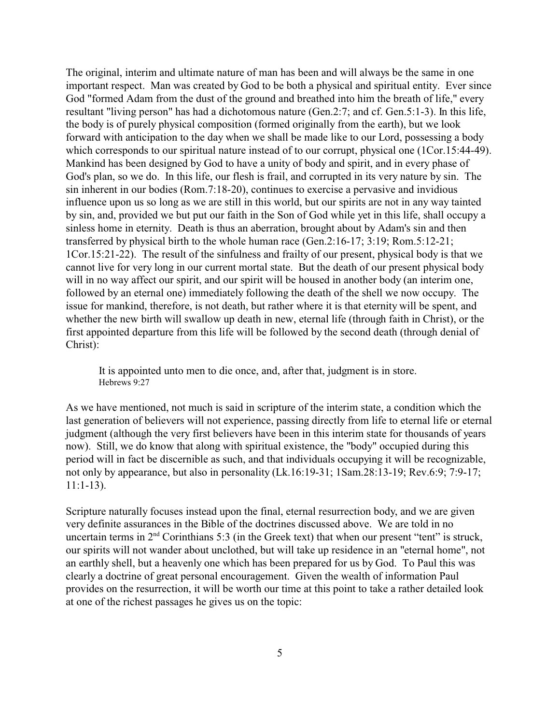The original, interim and ultimate nature of man has been and will always be the same in one important respect. Man was created by God to be both a physical and spiritual entity. Ever since God "formed Adam from the dust of the ground and breathed into him the breath of life," every resultant "living person" has had a dichotomous nature (Gen.2:7; and cf. Gen.5:1-3). In this life, the body is of purely physical composition (formed originally from the earth), but we look forward with anticipation to the day when we shall be made like to our Lord, possessing a body which corresponds to our spiritual nature instead of to our corrupt, physical one (1Cor.15:44-49). Mankind has been designed by God to have a unity of body and spirit, and in every phase of God's plan, so we do. In this life, our flesh is frail, and corrupted in its very nature by sin. The sin inherent in our bodies (Rom.7:18-20), continues to exercise a pervasive and invidious influence upon us so long as we are still in this world, but our spirits are not in any way tainted by sin, and, provided we but put our faith in the Son of God while yet in this life, shall occupy a sinless home in eternity. Death is thus an aberration, brought about by Adam's sin and then transferred by physical birth to the whole human race (Gen.2:16-17; 3:19; Rom.5:12-21; 1Cor.15:21-22). The result of the sinfulness and frailty of our present, physical body is that we cannot live for very long in our current mortal state. But the death of our present physical body will in no way affect our spirit, and our spirit will be housed in another body (an interim one, followed by an eternal one) immediately following the death of the shell we now occupy. The issue for mankind, therefore, is not death, but rather where it is that eternity will be spent, and whether the new birth will swallow up death in new, eternal life (through faith in Christ), or the first appointed departure from this life will be followed by the second death (through denial of Christ):

It is appointed unto men to die once, and, after that, judgment is in store. Hebrews 9:27

As we have mentioned, not much is said in scripture of the interim state, a condition which the last generation of believers will not experience, passing directly from life to eternal life or eternal judgment (although the very first believers have been in this interim state for thousands of years now). Still, we do know that along with spiritual existence, the "body" occupied during this period will in fact be discernible as such, and that individuals occupying it will be recognizable, not only by appearance, but also in personality (Lk.16:19-31; 1Sam.28:13-19; Rev.6:9; 7:9-17; 11:1-13).

Scripture naturally focuses instead upon the final, eternal resurrection body, and we are given very definite assurances in the Bible of the doctrines discussed above. We are told in no uncertain terms in  $2<sup>nd</sup>$  Corinthians 5:3 (in the Greek text) that when our present "tent" is struck, our spirits will not wander about unclothed, but will take up residence in an "eternal home", not an earthly shell, but a heavenly one which has been prepared for us by God. To Paul this was clearly a doctrine of great personal encouragement. Given the wealth of information Paul provides on the resurrection, it will be worth our time at this point to take a rather detailed look at one of the richest passages he gives us on the topic: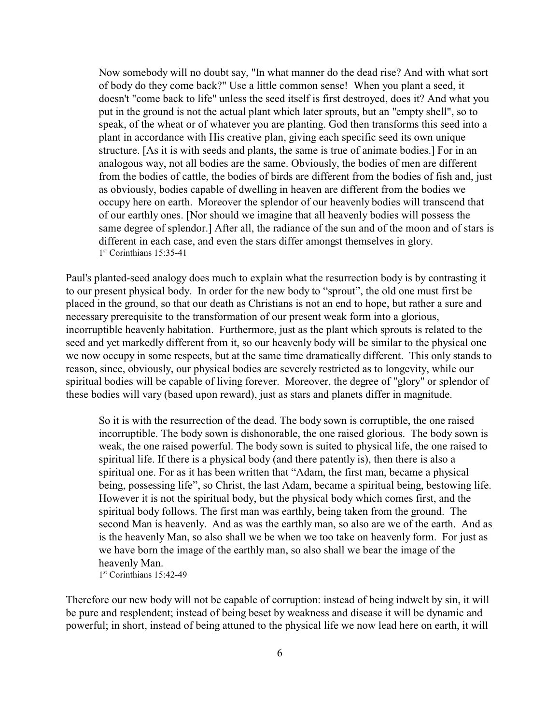Now somebody will no doubt say, "In what manner do the dead rise? And with what sort of body do they come back?" Use a little common sense! When you plant a seed, it doesn't "come back to life" unless the seed itself is first destroyed, does it? And what you put in the ground is not the actual plant which later sprouts, but an "empty shell", so to speak, of the wheat or of whatever you are planting. God then transforms this seed into a plant in accordance with His creative plan, giving each specific seed its own unique structure. [As it is with seeds and plants, the same is true of animate bodies.] For in an analogous way, not all bodies are the same. Obviously, the bodies of men are different from the bodies of cattle, the bodies of birds are different from the bodies of fish and, just as obviously, bodies capable of dwelling in heaven are different from the bodies we occupy here on earth. Moreover the splendor of our heavenly bodies will transcend that of our earthly ones. [Nor should we imagine that all heavenly bodies will possess the same degree of splendor.] After all, the radiance of the sun and of the moon and of stars is different in each case, and even the stars differ amongst themselves in glory. 1st Corinthians 15:35-41

Paul's planted-seed analogy does much to explain what the resurrection body is by contrasting it to our present physical body. In order for the new body to "sprout", the old one must first be placed in the ground, so that our death as Christians is not an end to hope, but rather a sure and necessary prerequisite to the transformation of our present weak form into a glorious, incorruptible heavenly habitation. Furthermore, just as the plant which sprouts is related to the seed and yet markedly different from it, so our heavenly body will be similar to the physical one we now occupy in some respects, but at the same time dramatically different. This only stands to reason, since, obviously, our physical bodies are severely restricted as to longevity, while our spiritual bodies will be capable of living forever. Moreover, the degree of "glory" or splendor of these bodies will vary (based upon reward), just as stars and planets differ in magnitude.

So it is with the resurrection of the dead. The body sown is corruptible, the one raised incorruptible. The body sown is dishonorable, the one raised glorious. The body sown is weak, the one raised powerful. The body sown is suited to physical life, the one raised to spiritual life. If there is a physical body (and there patently is), then there is also a spiritual one. For as it has been written that "Adam, the first man, became a physical being, possessing life", so Christ, the last Adam, became a spiritual being, bestowing life. However it is not the spiritual body, but the physical body which comes first, and the spiritual body follows. The first man was earthly, being taken from the ground. The second Man is heavenly. And as was the earthly man, so also are we of the earth. And as is the heavenly Man, so also shall we be when we too take on heavenly form. For just as we have born the image of the earthly man, so also shall we bear the image of the heavenly Man.

1 st Corinthians 15:42-49

Therefore our new body will not be capable of corruption: instead of being indwelt by sin, it will be pure and resplendent; instead of being beset by weakness and disease it will be dynamic and powerful; in short, instead of being attuned to the physical life we now lead here on earth, it will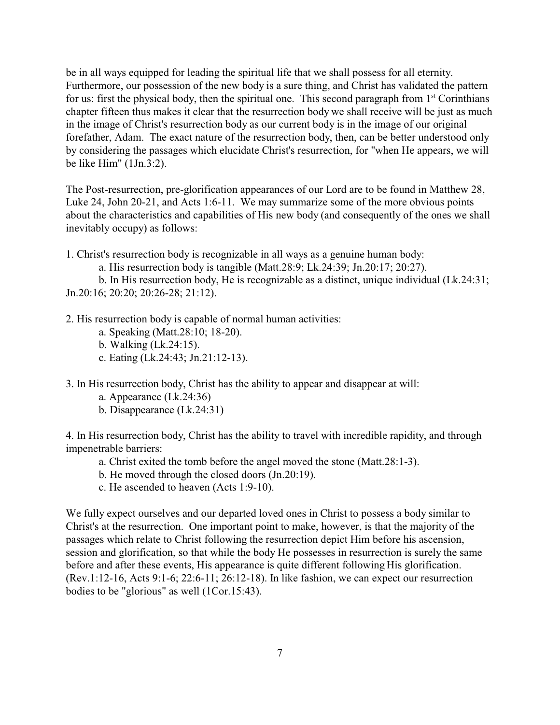be in all ways equipped for leading the spiritual life that we shall possess for all eternity. Furthermore, our possession of the new body is a sure thing, and Christ has validated the pattern for us: first the physical body, then the spiritual one. This second paragraph from  $1<sup>st</sup>$  Corinthians chapter fifteen thus makes it clear that the resurrection body we shall receive will be just as much in the image of Christ's resurrection body as our current body is in the image of our original forefather, Adam. The exact nature of the resurrection body, then, can be better understood only by considering the passages which elucidate Christ's resurrection, for "when He appears, we will be like Him" (1Jn.3:2).

The Post-resurrection, pre-glorification appearances of our Lord are to be found in Matthew 28, Luke 24, John 20-21, and Acts 1:6-11. We may summarize some of the more obvious points about the characteristics and capabilities of His new body (and consequently of the ones we shall inevitably occupy) as follows:

1. Christ's resurrection body is recognizable in all ways as a genuine human body:

a. His resurrection body is tangible (Matt.28:9; Lk.24:39; Jn.20:17; 20:27).

b. In His resurrection body, He is recognizable as a distinct, unique individual (Lk.24:31; Jn.20:16; 20:20; 20:26-28; 21:12).

- 2. His resurrection body is capable of normal human activities:
	- a. Speaking (Matt.28:10; 18-20).
	- b. Walking (Lk.24:15).
	- c. Eating (Lk.24:43; Jn.21:12-13).

3. In His resurrection body, Christ has the ability to appear and disappear at will:

- a. Appearance (Lk.24:36)
- b. Disappearance (Lk.24:31)

4. In His resurrection body, Christ has the ability to travel with incredible rapidity, and through impenetrable barriers:

- a. Christ exited the tomb before the angel moved the stone (Matt.28:1-3).
- b. He moved through the closed doors (Jn.20:19).
- c. He ascended to heaven (Acts 1:9-10).

We fully expect ourselves and our departed loved ones in Christ to possess a body similar to Christ's at the resurrection. One important point to make, however, is that the majority of the passages which relate to Christ following the resurrection depict Him before his ascension, session and glorification, so that while the body He possesses in resurrection is surely the same before and after these events, His appearance is quite different following His glorification. (Rev.1:12-16, Acts 9:1-6; 22:6-11; 26:12-18). In like fashion, we can expect our resurrection bodies to be "glorious" as well (1Cor.15:43).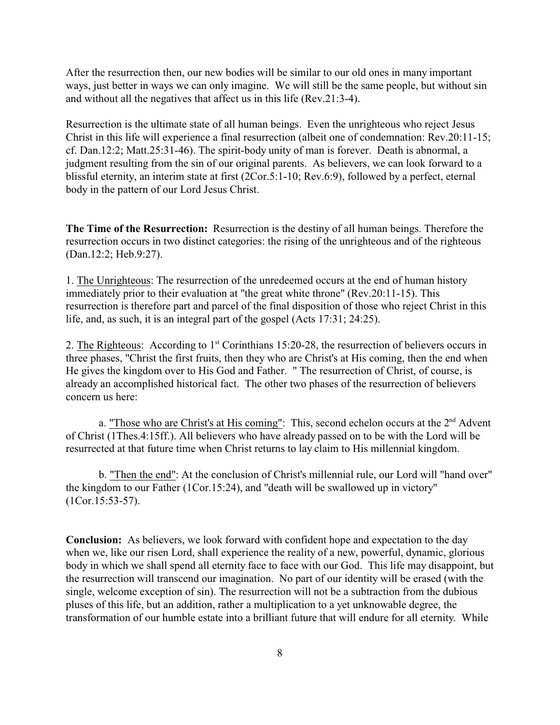After the resurrection then, our new bodies will be similar to our old ones in many important ways, just better in ways we can only imagine. We will still be the same people, but without sin and without all the negatives that affect us in this life (Rev.21:3-4).

Resurrection is the ultimate state of all human beings. Even the unrighteous who reject Jesus Christ in this life will experience a final resurrection (albeit one of condemnation: Rev.20:11-15; cf. Dan.12:2; Matt.25:31-46). The spirit-body unity of man is forever. Death is abnormal, a judgment resulting from the sin of our original parents. As believers, we can look forward to a blissful eternity, an interim state at first (2Cor.5:1-10; Rev.6:9), followed by a perfect, eternal body in the pattern of our Lord Jesus Christ.

**The Time of the Resurrection:** Resurrection is the destiny of all human beings. Therefore the resurrection occurs in two distinct categories: the rising of the unrighteous and of the righteous (Dan.12:2; Heb.9:27).

1. The Unrighteous: The resurrection of the unredeemed occurs at the end of human history immediately prior to their evaluation at "the great white throne" (Rev.20:11-15). This resurrection is therefore part and parcel of the final disposition of those who reject Christ in this life, and, as such, it is an integral part of the gospel (Acts 17:31; 24:25).

2. The Righteous: According to 1<sup>st</sup> Corinthians 15:20-28, the resurrection of believers occurs in three phases, "Christ the first fruits, then they who are Christ's at His coming, then the end when He gives the kingdom over to His God and Father. " The resurrection of Christ, of course, is already an accomplished historical fact. The other two phases of the resurrection of believers concern us here:

a. "Those who are Christ's at His coming": This, second echelon occurs at the 2<sup>nd</sup> Advent of Christ (1Thes.4:15ff.). All believers who have already passed on to be with the Lord will be resurrected at that future time when Christ returns to lay claim to His millennial kingdom.

b. "Then the end": At the conclusion of Christ's millennial rule, our Lord will "hand over" the kingdom to our Father (1Cor.15:24), and "death will be swallowed up in victory" (1Cor.15:53-57).

**Conclusion:** As believers, we look forward with confident hope and expectation to the day when we, like our risen Lord, shall experience the reality of a new, powerful, dynamic, glorious body in which we shall spend all eternity face to face with our God. This life may disappoint, but the resurrection will transcend our imagination. No part of our identity will be erased (with the single, welcome exception of sin). The resurrection will not be a subtraction from the dubious pluses of this life, but an addition, rather a multiplication to a yet unknowable degree, the transformation of our humble estate into a brilliant future that will endure for all eternity. While